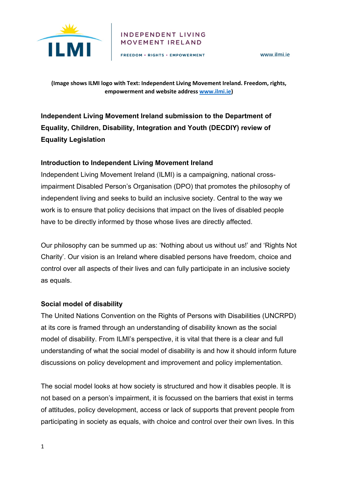

#### **INDEPENDENT LIVING** MOVEMENT IRELAND

FREEDOM . RIGHTS . EMPOWERMENT

**(Image shows ILMI logo with Text: Independent Living Movement Ireland. Freedom, rights, empowerment and website address [www.ilmi.ie\)](http://www.ilmi.ie/)** 

**Independent Living Movement Ireland submission to the Department of Equality, Children, Disability, Integration and Youth (DECDIY) review of Equality Legislation** 

### **Introduction to Independent Living Movement Ireland**

Independent Living Movement Ireland (ILMI) is a campaigning, national crossimpairment Disabled Person's Organisation (DPO) that promotes the philosophy of independent living and seeks to build an inclusive society. Central to the way we work is to ensure that policy decisions that impact on the lives of disabled people have to be directly informed by those whose lives are directly affected.

Our philosophy can be summed up as: 'Nothing about us without us!' and 'Rights Not Charity'. Our vision is an Ireland where disabled persons have freedom, choice and control over all aspects of their lives and can fully participate in an inclusive society as equals.

### **Social model of disability**

The United Nations Convention on the Rights of Persons with Disabilities (UNCRPD) at its core is framed through an understanding of disability known as the social model of disability. From ILMI's perspective, it is vital that there is a clear and full understanding of what the social model of disability is and how it should inform future discussions on policy development and improvement and policy implementation.

The social model looks at how society is structured and how it disables people. It is not based on a person's impairment, it is focussed on the barriers that exist in terms of attitudes, policy development, access or lack of supports that prevent people from participating in society as equals, with choice and control over their own lives. In this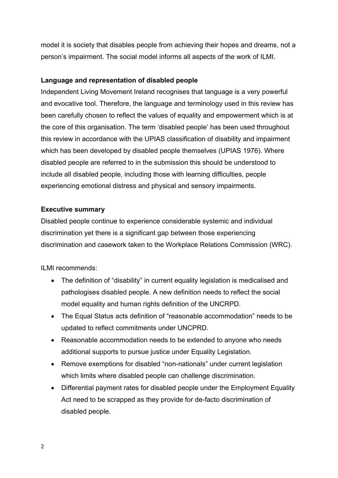model it is society that disables people from achieving their hopes and dreams, not a person's impairment. The social model informs all aspects of the work of ILMI.

### **Language and representation of disabled people**

Independent Living Movement Ireland recognises that language is a very powerful and evocative tool. Therefore, the language and terminology used in this review has been carefully chosen to reflect the values of equality and empowerment which is at the core of this organisation. The term 'disabled people' has been used throughout this review in accordance with the UPIAS classification of disability and impairment which has been developed by disabled people themselves (UPIAS 1976). Where disabled people are referred to in the submission this should be understood to include all disabled people, including those with learning difficulties, people experiencing emotional distress and physical and sensory impairments.

### **Executive summary**

Disabled people continue to experience considerable systemic and individual discrimination yet there is a significant gap between those experiencing discrimination and casework taken to the Workplace Relations Commission (WRC).

ILMI recommends:

- The definition of "disability" in current equality legislation is medicalised and pathologises disabled people. A new definition needs to reflect the social model equality and human rights definition of the UNCRPD.
- The Equal Status acts definition of "reasonable accommodation" needs to be updated to reflect commitments under UNCPRD.
- Reasonable accommodation needs to be extended to anyone who needs additional supports to pursue justice under Equality Legislation.
- Remove exemptions for disabled "non-nationals" under current legislation which limits where disabled people can challenge discrimination.
- Differential payment rates for disabled people under the Employment Equality Act need to be scrapped as they provide for de-facto discrimination of disabled people.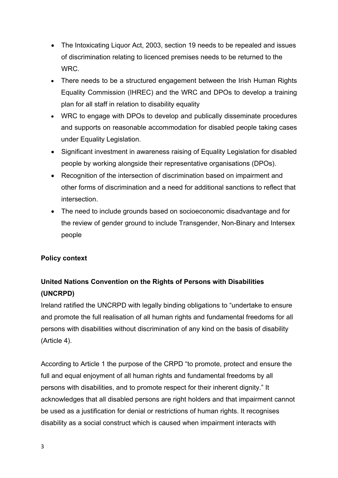- The Intoxicating Liquor Act, 2003, section 19 needs to be repealed and issues of discrimination relating to licenced premises needs to be returned to the WRC.
- There needs to be a structured engagement between the Irish Human Rights Equality Commission (IHREC) and the WRC and DPOs to develop a training plan for all staff in relation to disability equality
- WRC to engage with DPOs to develop and publically disseminate procedures and supports on reasonable accommodation for disabled people taking cases under Equality Legislation.
- Significant investment in awareness raising of Equality Legislation for disabled people by working alongside their representative organisations (DPOs).
- Recognition of the intersection of discrimination based on impairment and other forms of discrimination and a need for additional sanctions to reflect that intersection.
- The need to include grounds based on socioeconomic disadvantage and for the review of gender ground to include Transgender, Non-Binary and Intersex people

### **Policy context**

## **United Nations Convention on the Rights of Persons with Disabilities (UNCRPD)**

Ireland ratified the UNCRPD with legally binding obligations to "undertake to ensure and promote the full realisation of all human rights and fundamental freedoms for all persons with disabilities without discrimination of any kind on the basis of disability (Article 4).

According to Article 1 the purpose of the CRPD "to promote, protect and ensure the full and equal enjoyment of all human rights and fundamental freedoms by all persons with disabilities, and to promote respect for their inherent dignity." It acknowledges that all disabled persons are right holders and that impairment cannot be used as a justification for denial or restrictions of human rights. It recognises disability as a social construct which is caused when impairment interacts with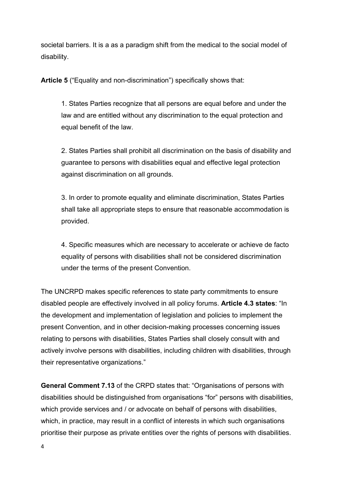societal barriers. It is a as a paradigm shift from the medical to the social model of disability.

**Article 5** ("Equality and non-discrimination") specifically shows that:

1. States Parties recognize that all persons are equal before and under the law and are entitled without any discrimination to the equal protection and equal benefit of the law.

2. States Parties shall prohibit all discrimination on the basis of disability and guarantee to persons with disabilities equal and effective legal protection against discrimination on all grounds.

3. In order to promote equality and eliminate discrimination, States Parties shall take all appropriate steps to ensure that reasonable accommodation is provided.

4. Specific measures which are necessary to accelerate or achieve de facto equality of persons with disabilities shall not be considered discrimination under the terms of the present Convention.

The UNCRPD makes specific references to state party commitments to ensure disabled people are effectively involved in all policy forums. **Article 4.3 states**: "In the development and implementation of legislation and policies to implement the present Convention, and in other decision-making processes concerning issues relating to persons with disabilities, States Parties shall closely consult with and actively involve persons with disabilities, including children with disabilities, through their representative organizations."

**General Comment 7.13** of the CRPD states that: "Organisations of persons with disabilities should be distinguished from organisations "for" persons with disabilities, which provide services and / or advocate on behalf of persons with disabilities, which, in practice, may result in a conflict of interests in which such organisations prioritise their purpose as private entities over the rights of persons with disabilities.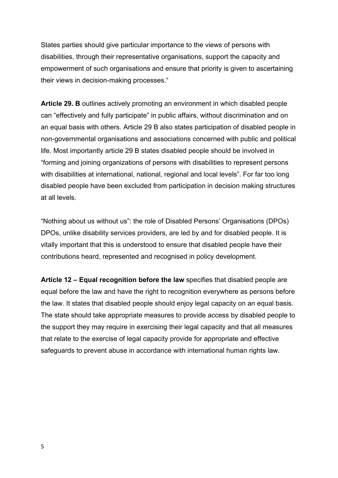States parties should give particular importance to the views of persons with disabilities, through their representative organisations, support the capacity and empowerment of such organisations and ensure that priority is given to ascertaining their views in decision-making processes."

**Article 29. B** outlines actively promoting an environment in which disabled people can "effectively and fully participate" in public affairs, without discrimination and on an equal basis with others. Article 29 B also states participation of disabled people in non-governmental organisations and associations concerned with public and political life. Most importantly article 29 B states disabled people should be involved in "forming and joining organizations of persons with disabilities to represent persons with disabilities at international, national, regional and local levels". For far too long disabled people have been excluded from participation in decision making structures at all levels.

"Nothing about us without us": the role of Disabled Persons' Organisations (DPOs) DPOs, unlike disability services providers, are led by and for disabled people. It is vitally important that this is understood to ensure that disabled people have their contributions heard, represented and recognised in policy development.

**Article 12 – Equal recognition before the law** specifies that disabled people are equal before the law and have the right to recognition everywhere as persons before the law. It states that disabled people should enjoy legal capacity on an equal basis. The state should take appropriate measures to provide access by disabled people to the support they may require in exercising their legal capacity and that all measures that relate to the exercise of legal capacity provide for appropriate and effective safeguards to prevent abuse in accordance with international human rights law.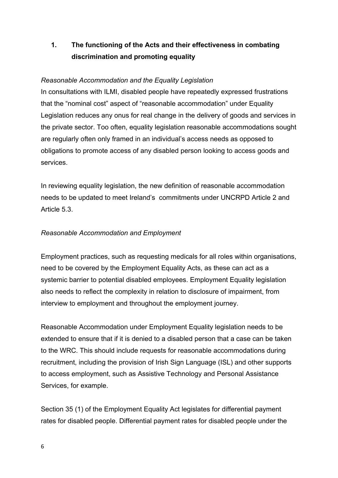## **1. The functioning of the Acts and their effectiveness in combating discrimination and promoting equality**

### *Reasonable Accommodation and the Equality Legislation*

In consultations with ILMI, disabled people have repeatedly expressed frustrations that the "nominal cost" aspect of "reasonable accommodation" under Equality Legislation reduces any onus for real change in the delivery of goods and services in the private sector. Too often, equality legislation reasonable accommodations sought are regularly often only framed in an individual's access needs as opposed to obligations to promote access of any disabled person looking to access goods and services.

In reviewing equality legislation, the new definition of reasonable accommodation needs to be updated to meet Ireland's commitments under UNCRPD Article 2 and Article 5.3.

### *Reasonable Accommodation and Employment*

Employment practices, such as requesting medicals for all roles within organisations, need to be covered by the Employment Equality Acts, as these can act as a systemic barrier to potential disabled employees. Employment Equality legislation also needs to reflect the complexity in relation to disclosure of impairment, from interview to employment and throughout the employment journey.

Reasonable Accommodation under Employment Equality legislation needs to be extended to ensure that if it is denied to a disabled person that a case can be taken to the WRC. This should include requests for reasonable accommodations during recruitment, including the provision of Irish Sign Language (ISL) and other supports to access employment, such as Assistive Technology and Personal Assistance Services, for example.

Section 35 (1) of the Employment Equality Act legislates for differential payment rates for disabled people. Differential payment rates for disabled people under the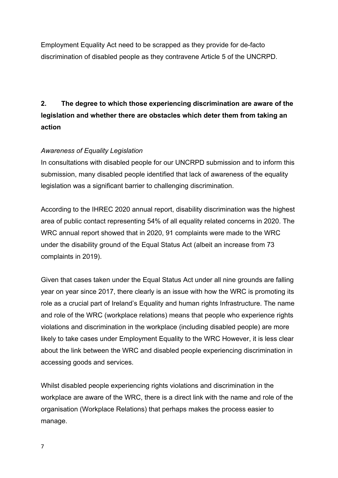Employment Equality Act need to be scrapped as they provide for de-facto discrimination of disabled people as they contravene Article 5 of the UNCRPD.

# **2. The degree to which those experiencing discrimination are aware of the legislation and whether there are obstacles which deter them from taking an action**

### *Awareness of Equality Legislation*

In consultations with disabled people for our UNCRPD submission and to inform this submission, many disabled people identified that lack of awareness of the equality legislation was a significant barrier to challenging discrimination.

According to the IHREC 2020 annual report, disability discrimination was the highest area of public contact representing 54% of all equality related concerns in 2020. The WRC annual report showed that in 2020, 91 complaints were made to the WRC under the disability ground of the Equal Status Act (albeit an increase from 73 complaints in 2019).

Given that cases taken under the Equal Status Act under all nine grounds are falling year on year since 2017, there clearly is an issue with how the WRC is promoting its role as a crucial part of Ireland's Equality and human rights Infrastructure. The name and role of the WRC (workplace relations) means that people who experience rights violations and discrimination in the workplace (including disabled people) are more likely to take cases under Employment Equality to the WRC However, it is less clear about the link between the WRC and disabled people experiencing discrimination in accessing goods and services.

Whilst disabled people experiencing rights violations and discrimination in the workplace are aware of the WRC, there is a direct link with the name and role of the organisation (Workplace Relations) that perhaps makes the process easier to manage.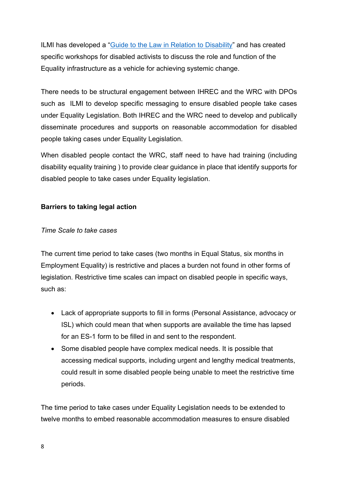ILMI has developed a "Guide to the Law in [Relation to Disability"](https://ilmi.ie/wp-content/uploads/2018/12/ILMI-guide-to-the-law-in-relation-to-disability.pdf) and has created specific workshops for disabled activists to discuss the role and function of the Equality infrastructure as a vehicle for achieving systemic change.

There needs to be structural engagement between IHREC and the WRC with DPOs such as ILMI to develop specific messaging to ensure disabled people take cases under Equality Legislation. Both IHREC and the WRC need to develop and publically disseminate procedures and supports on reasonable accommodation for disabled people taking cases under Equality Legislation.

When disabled people contact the WRC, staff need to have had training (including disability equality training ) to provide clear guidance in place that identify supports for disabled people to take cases under Equality legislation.

### **Barriers to taking legal action**

### *Time Scale to take cases*

The current time period to take cases (two months in Equal Status, six months in Employment Equality) is restrictive and places a burden not found in other forms of legislation. Restrictive time scales can impact on disabled people in specific ways, such as:

- Lack of appropriate supports to fill in forms (Personal Assistance, advocacy or ISL) which could mean that when supports are available the time has lapsed for an ES-1 form to be filled in and sent to the respondent.
- Some disabled people have complex medical needs. It is possible that accessing medical supports, including urgent and lengthy medical treatments, could result in some disabled people being unable to meet the restrictive time periods.

The time period to take cases under Equality Legislation needs to be extended to twelve months to embed reasonable accommodation measures to ensure disabled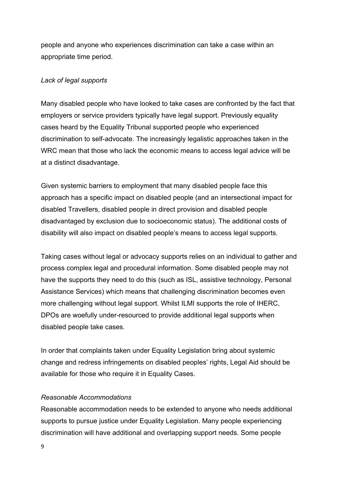people and anyone who experiences discrimination can take a case within an appropriate time period.

### *Lack of legal supports*

Many disabled people who have looked to take cases are confronted by the fact that employers or service providers typically have legal support. Previously equality cases heard by the Equality Tribunal supported people who experienced discrimination to self-advocate. The increasingly legalistic approaches taken in the WRC mean that those who lack the economic means to access legal advice will be at a distinct disadvantage.

Given systemic barriers to employment that many disabled people face this approach has a specific impact on disabled people (and an intersectional impact for disabled Travellers, disabled people in direct provision and disabled people disadvantaged by exclusion due to socioeconomic status). The additional costs of disability will also impact on disabled people's means to access legal supports.

Taking cases without legal or advocacy supports relies on an individual to gather and process complex legal and procedural information. Some disabled people may not have the supports they need to do this (such as ISL, assistive technology, Personal Assistance Services) which means that challenging discrimination becomes even more challenging without legal support. Whilst ILMI supports the role of IHERC, DPOs are woefully under-resourced to provide additional legal supports when disabled people take cases.

In order that complaints taken under Equality Legislation bring about systemic change and redress infringements on disabled peoples' rights, Legal Aid should be available for those who require it in Equality Cases.

### *Reasonable Accommodations*

Reasonable accommodation needs to be extended to anyone who needs additional supports to pursue justice under Equality Legislation. Many people experiencing discrimination will have additional and overlapping support needs. Some people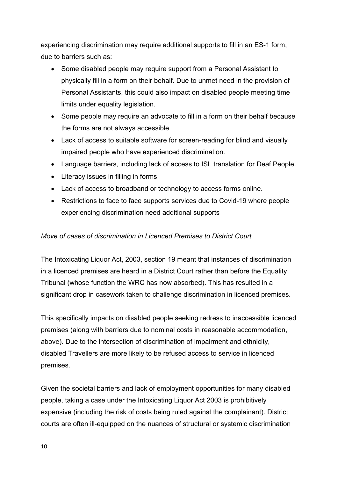experiencing discrimination may require additional supports to fill in an ES-1 form, due to barriers such as:

- Some disabled people may require support from a Personal Assistant to physically fill in a form on their behalf. Due to unmet need in the provision of Personal Assistants, this could also impact on disabled people meeting time limits under equality legislation.
- Some people may require an advocate to fill in a form on their behalf because the forms are not always accessible
- Lack of access to suitable software for screen-reading for blind and visually impaired people who have experienced discrimination.
- Language barriers, including lack of access to ISL translation for Deaf People.
- Literacy issues in filling in forms
- Lack of access to broadband or technology to access forms online.
- Restrictions to face to face supports services due to Covid-19 where people experiencing discrimination need additional supports

### *Move of cases of discrimination in Licenced Premises to District Court*

The Intoxicating Liquor Act, 2003, section 19 meant that instances of discrimination in a licenced premises are heard in a District Court rather than before the Equality Tribunal (whose function the WRC has now absorbed). This has resulted in a significant drop in casework taken to challenge discrimination in licenced premises.

This specifically impacts on disabled people seeking redress to inaccessible licenced premises (along with barriers due to nominal costs in reasonable accommodation, above). Due to the intersection of discrimination of impairment and ethnicity, disabled Travellers are more likely to be refused access to service in licenced premises.

Given the societal barriers and lack of employment opportunities for many disabled people, taking a case under the Intoxicating Liquor Act 2003 is prohibitively expensive (including the risk of costs being ruled against the complainant). District courts are often ill-equipped on the nuances of structural or systemic discrimination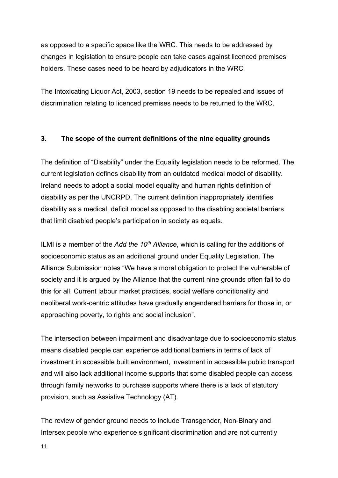as opposed to a specific space like the WRC. This needs to be addressed by changes in legislation to ensure people can take cases against licenced premises holders. These cases need to be heard by adjudicators in the WRC

The Intoxicating Liquor Act, 2003, section 19 needs to be repealed and issues of discrimination relating to licenced premises needs to be returned to the WRC.

### **3. The scope of the current definitions of the nine equality grounds**

The definition of "Disability" under the Equality legislation needs to be reformed. The current legislation defines disability from an outdated medical model of disability. Ireland needs to adopt a social model equality and human rights definition of disability as per the UNCRPD. The current definition inappropriately identifies disability as a medical, deficit model as opposed to the disabling societal barriers that limit disabled people's participation in society as equals.

ILMI is a member of the *Add the 10th Alliance*, which is calling for the additions of socioeconomic status as an additional ground under Equality Legislation. The Alliance Submission notes "We have a moral obligation to protect the vulnerable of society and it is argued by the Alliance that the current nine grounds often fail to do this for all. Current labour market practices, social welfare conditionality and neoliberal work-centric attitudes have gradually engendered barriers for those in, or approaching poverty, to rights and social inclusion".

The intersection between impairment and disadvantage due to socioeconomic status means disabled people can experience additional barriers in terms of lack of investment in accessible built environment, investment in accessible public transport and will also lack additional income supports that some disabled people can access through family networks to purchase supports where there is a lack of statutory provision, such as Assistive Technology (AT).

The review of gender ground needs to include Transgender, Non-Binary and Intersex people who experience significant discrimination and are not currently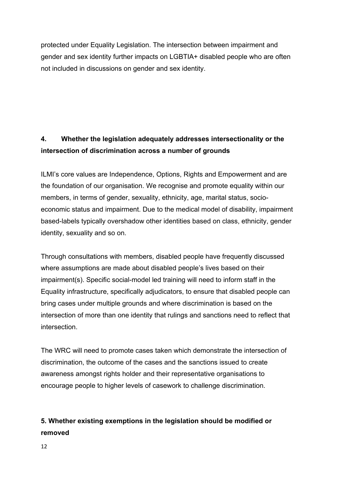protected under Equality Legislation. The intersection between impairment and gender and sex identity further impacts on LGBTIA+ disabled people who are often not included in discussions on gender and sex identity.

## **4. Whether the legislation adequately addresses intersectionality or the intersection of discrimination across a number of grounds**

ILMI's core values are Independence, Options, Rights and Empowerment and are the foundation of our organisation. We recognise and promote equality within our members, in terms of gender, sexuality, ethnicity, age, marital status, socioeconomic status and impairment. Due to the medical model of disability, impairment based-labels typically overshadow other identities based on class, ethnicity, gender identity, sexuality and so on.

Through consultations with members, disabled people have frequently discussed where assumptions are made about disabled people's lives based on their impairment(s). Specific social-model led training will need to inform staff in the Equality infrastructure, specifically adjudicators, to ensure that disabled people can bring cases under multiple grounds and where discrimination is based on the intersection of more than one identity that rulings and sanctions need to reflect that intersection.

The WRC will need to promote cases taken which demonstrate the intersection of discrimination, the outcome of the cases and the sanctions issued to create awareness amongst rights holder and their representative organisations to encourage people to higher levels of casework to challenge discrimination.

## **5. Whether existing exemptions in the legislation should be modified or removed**